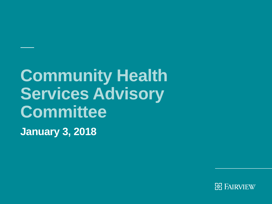# **Community Health Services Advisory Committee**

**January 3, 2018**

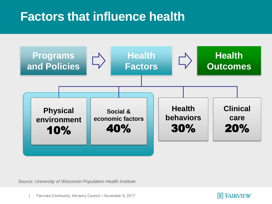### **Factors that influence health**



*Source: University of Wisconsin Population Health Institute*

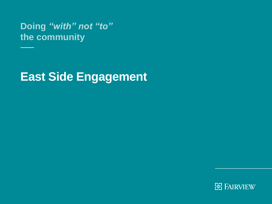**Doing** *"with" not "to"*  **the community**

### **East Side Engagement**

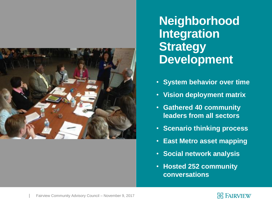

**Neighborhood Integration Strategy Development**

- **System behavior over time**
- **Vision deployment matrix**
- **Gathered 40 community leaders from all sectors**
- **Scenario thinking process**
- **East Metro asset mapping**
- **Social network analysis**
- **Hosted 252 community conversations**

#### **B FAIRVIEW**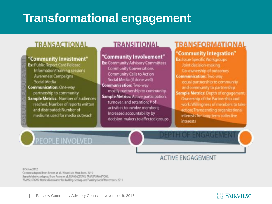### **Transformational engagement**

#### **TRANSACTIONAL**

#### "Community Investment"

Ex: Public Report Card Release Information/Training sessions **Awareness Campaigns** Social Media **Communication: One-way** partnership to community **Sample Metrics: Number of audiences** reached: Number of reports written and distributed; Number of mediums used for media outreach

PEOPLE INVOLVED

#### **TRANSITIONAL**

#### "Community Involvement"

**Ex: Community Advisory Committees Community Conversations Community Calls to Action** Social Media (if done well) **Communication: Two-way** mostly partnership to community Sample Metrics: Active participation, turnover, and retention; # of activities to involve members: Increased accountability by decision-makers to affected groups

#### TRANSFORMATIONAL

#### "Community Integration" **Ex: Issue Specific Workgroups**

Joint decision-making Co-ownership of outcomes: **Communication: Two-way** equal partnership to community. and community to partnership Sample Metrics: Depth of engagement: Ownership of the Partnership and work: Willingness of members to take action: Transcending organizational interests for long-term collective *interests* 

DEPIETOE ENGAGEME

### **ACTIVE ENGAGEMENT**

D Strive 2012 Content adapted from Bowen et all, When Suits Meet Roots. 2010 Sample Metrics adapted from Pastor et al. TRANSACTIONS. TRANSFORMATIONS. TRANSLATIONS: Metrics That Matter for Building. Scaling, and Funding Social Movements. 2011

**需 FAIRVIEW**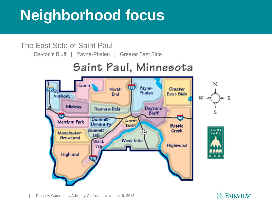# **Neighborhood focus**

#### The East Side of Saint Paul

Dayton's Bluff | Payne-Phalen | Greater East Side

#### Saint Paul, Minnesota



#### **BE FAIRVIEW**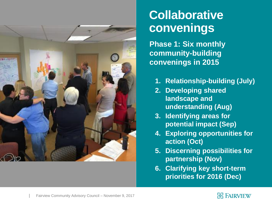

#### **Collaborative convenings**

**Phase 1: Six monthly community-building convenings in 2015**

- **1. Relationship-building (July)**
- **2. Developing shared landscape and understanding (Aug)**
- **3. Identifying areas for potential impact (Sep)**
- **4. Exploring opportunities for action (Oct)**
- **5. Discerning possibilities for partnership (Nov)**
- **6. Clarifying key short-term priorities for 2016 (Dec)**

#### **常 FAIRVIEW**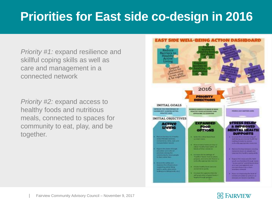## **Priorities for East side co-design in 2016**

*Priority #1:* expand resilience and skillful coping skills as well as care and management in a connected network

*Priority #2:* expand access to healthy foods and nutritious meals, connected to spaces for community to eat, play, and be together.



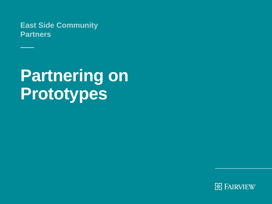**East Side Community Partners**

# **Partnering on Prototypes**

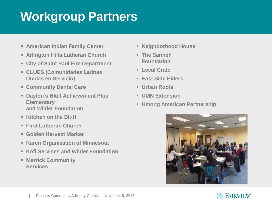## **Workgroup Partners**

- **American Indian Family Center**
- **Arlington Hills Lutheran Church**
- **City of Saint Paul Fire Department**
- **CLUES (Comunidades Latinas Unidas en Servicio)**
- **Community Dental Care**
- **Dayton's Bluff Achievement Plus Elementary and Wilder Foundation**
- **Kitchen on the Bluff**
- **First Lutheran Church**
- **Golden Harvest Market**
- **Karen Organization of Minnesota**
- **Kofi Services and Wilder Foundation**
- **Merrick Community Services**
- **Neighborhood House**
- **The Sanneh Foundation**
- **Local Crate**
- **East Side Elders**
- **Urban Roots**
- **UMN Extension**
- **Hmong American Partnership**



#### **ER FAIRVIEW**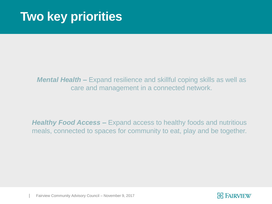### **Two key priorities**

#### *Mental Health –* Expand resilience and skillful coping skills as well as care and management in a connected network.

*Healthy Food Access –* Expand access to healthy foods and nutritious meals, connected to spaces for community to eat, play and be together.

Fairview Community Advisory Council – November 9, 2017

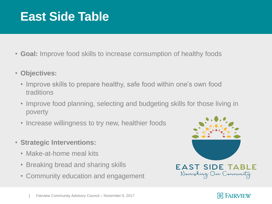### **East Side Table**

- **Goal:** Improve food skills to increase consumption of healthy foods
- **Objectives:**
	- Improve skills to prepare healthy, safe food within one's own food traditions
	- Improve food planning, selecting and budgeting skills for those living in poverty
	- Increase willingness to try new, healthier foods
- **Strategic Interventions:**
	- Make-at-home meal kits
	- Breaking bread and sharing skills
	- Community education and engagement



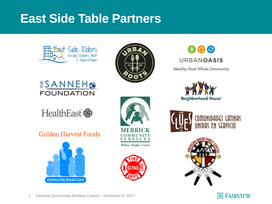### **East Side Table Partners**





#### ESANNEHO **FOUNDATION**



#### Golden Harvest Foods







 $\circledcirc$ **URBANOASIS** Healthy Food. Whole Community.



OMUNIDADES LATINAS **IDAS EN SERVICIO** 



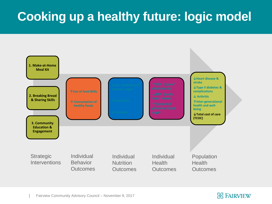# **Cooking up a healthy future: logic model**



Fairview Community Advisory Council – November 9, 2017

#### **ER FAIRVIEW**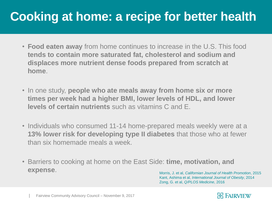## **Cooking at home: a recipe for better health**

- **Food eaten away** from home continues to increase in the U.S. This food **tends to contain more saturated fat, cholesterol and sodium and displaces more nutrient dense foods prepared from scratch at home**.
- In one study, **people who ate meals away from home six or more times per week had a higher BMI, lower levels of HDL, and lower levels of certain nutrients** such as vitamins C and E.
- Individuals who consumed 11-14 home-prepared meals weekly were at a **13% lower risk for developing type II diabetes** that those who at fewer than six homemade meals a week.
- Barriers to cooking at home on the East Side: **time, motivation, and expense**. Morris, J. et al, *Californian Journal of Health Promotion*, 2015

Kant, Ashima et al, *International Journal of Obesity*, 2014 Zong, G. et al, *Q/PLOS Medicine*, 2016



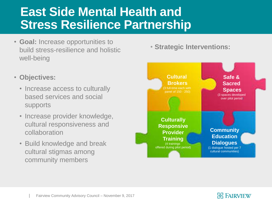### **East Side Mental Health and Stress Resilience Partnership**

- **Goal:** Increase opportunities to build stress-resilience and holistic well-being
- **Objectives:**
	- Increase access to culturally based services and social supports
	- Increase provider knowledge, cultural responsiveness and collaboration
	- Build knowledge and break cultural stigmas among community members

• **Strategic Interventions:**



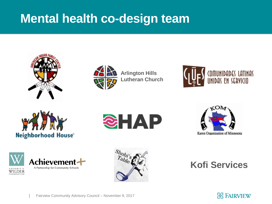### **Mental health co-design team**





**Arlington Hills Lutheran Church**







EQUINDATIO







**Kofi Services**

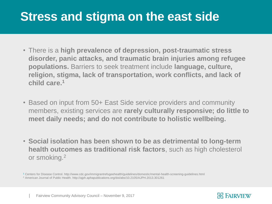### **Stress and stigma on the east side**

- There is a **high prevalence of depression, post-traumatic stress disorder, panic attacks, and traumatic brain injuries among refugee populations.** Barriers to seek treatment include **language, culture, religion, stigma, lack of transportation, work conflicts, and lack of child care.<sup>1</sup>**
- Based on input from 50+ East Side service providers and community members, existing services are **rarely culturally responsive; do little to meet daily needs; and do not contribute to holistic wellbeing.**
- **Social isolation has been shown to be as detrimental to long-term health outcomes as traditional risk factors**, such as high cholesterol or smoking.<sup>2</sup>

<sup>1</sup> Centers for Disease Control. http://www.cdc.gov/immigrantrefugeehealth/guidelines/domestic/mental-health-screening-guidelines.html <sup>2</sup> American Journal of Public Health. http://ajph.aphapublications.org/doi/abs/10.2105/AJPH.2013.301261

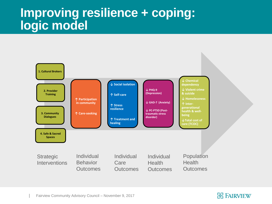#### **Improving resilience + coping: logic model**



#### Fairview Community Advisory Council – November 9, 2017

#### **ER FAIRVIEW**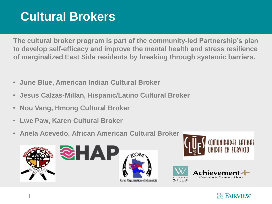## **Cultural Brokers**

**The cultural broker program is part of the community-led Partnership's plan to develop self-efficacy and improve the mental health and stress resilience of marginalized East Side residents by breaking through systemic barriers.**

- **June Blue, American Indian Cultural Broker**
- **Jesus Calzas-Millan, Hispanic/Latino Cultural Broker**
- **Nou Vang, Hmong Cultural Broker**
- **Lwe Paw, Karen Cultural Broker**
- **Anela Acevedo, African American Cultural Broker**





Karen Organization of Minnesota





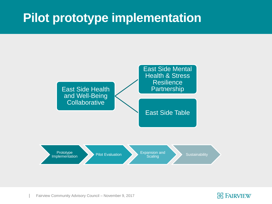### **Pilot prototype implementation**





Fairview Community Advisory Council – November 9, 2017

#### **BE FAIRVIEW**